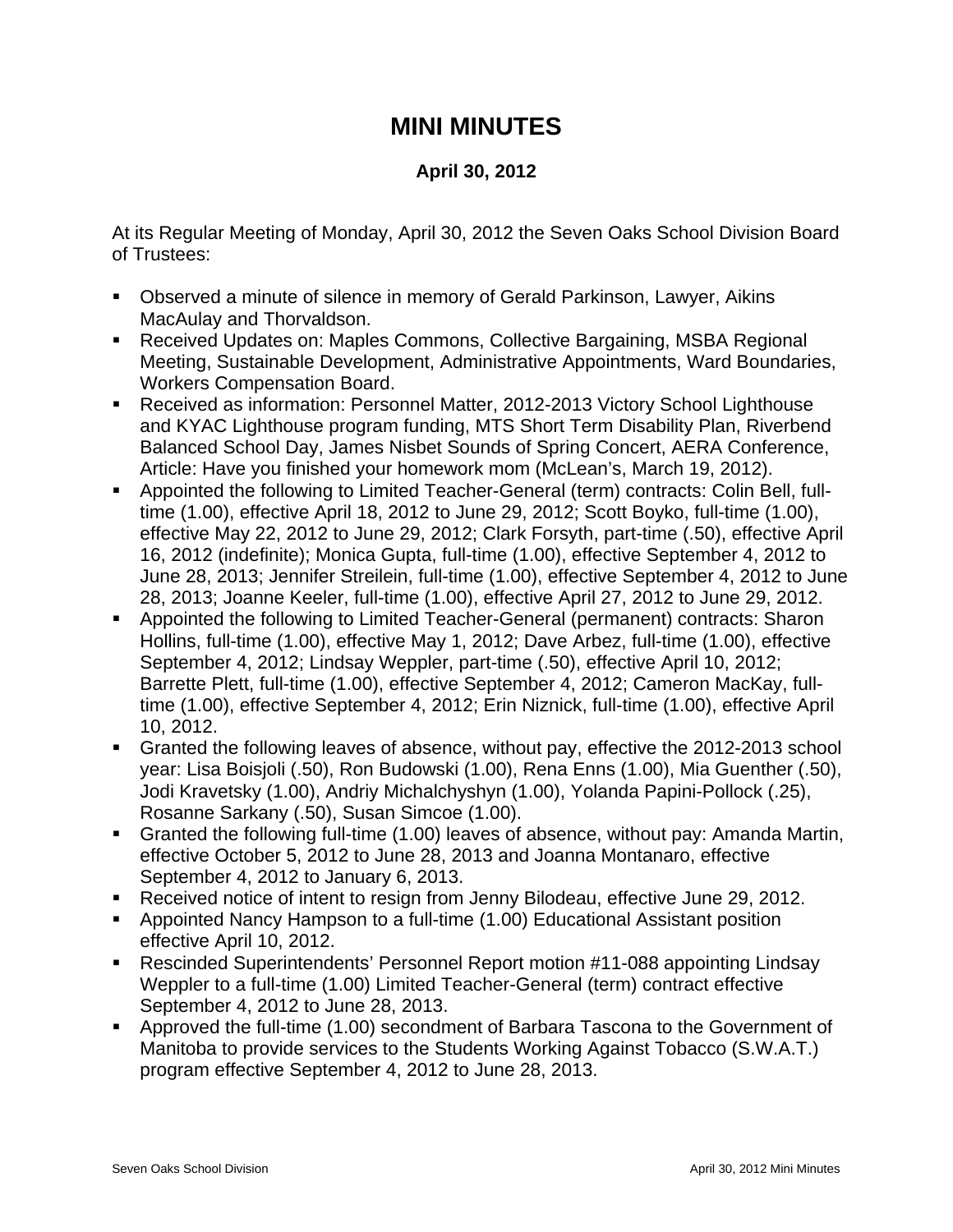## **MINI MINUTES**

## **April 30, 2012**

At its Regular Meeting of Monday, April 30, 2012 the Seven Oaks School Division Board of Trustees:

- Observed a minute of silence in memory of Gerald Parkinson, Lawyer, Aikins MacAulay and Thorvaldson.
- Received Updates on: Maples Commons, Collective Bargaining, MSBA Regional Meeting, Sustainable Development, Administrative Appointments, Ward Boundaries, Workers Compensation Board.
- Received as information: Personnel Matter, 2012-2013 Victory School Lighthouse and KYAC Lighthouse program funding, MTS Short Term Disability Plan, Riverbend Balanced School Day, James Nisbet Sounds of Spring Concert, AERA Conference, Article: Have you finished your homework mom (McLean's, March 19, 2012).
- Appointed the following to Limited Teacher-General (term) contracts: Colin Bell, fulltime (1.00), effective April 18, 2012 to June 29, 2012; Scott Boyko, full-time (1.00), effective May 22, 2012 to June 29, 2012; Clark Forsyth, part-time (.50), effective April 16, 2012 (indefinite); Monica Gupta, full-time (1.00), effective September 4, 2012 to June 28, 2013; Jennifer Streilein, full-time (1.00), effective September 4, 2012 to June 28, 2013; Joanne Keeler, full-time (1.00), effective April 27, 2012 to June 29, 2012.
- Appointed the following to Limited Teacher-General (permanent) contracts: Sharon Hollins, full-time (1.00), effective May 1, 2012; Dave Arbez, full-time (1.00), effective September 4, 2012; Lindsay Weppler, part-time (.50), effective April 10, 2012; Barrette Plett, full-time (1.00), effective September 4, 2012; Cameron MacKay, fulltime (1.00), effective September 4, 2012; Erin Niznick, full-time (1.00), effective April 10, 2012.
- Granted the following leaves of absence, without pay, effective the 2012-2013 school year: Lisa Boisjoli (.50), Ron Budowski (1.00), Rena Enns (1.00), Mia Guenther (.50), Jodi Kravetsky (1.00), Andriy Michalchyshyn (1.00), Yolanda Papini-Pollock (.25), Rosanne Sarkany (.50), Susan Simcoe (1.00).
- Granted the following full-time (1.00) leaves of absence, without pay: Amanda Martin, effective October 5, 2012 to June 28, 2013 and Joanna Montanaro, effective September 4, 2012 to January 6, 2013.
- Received notice of intent to resign from Jenny Bilodeau, effective June 29, 2012.
- Appointed Nancy Hampson to a full-time (1.00) Educational Assistant position effective April 10, 2012.
- Rescinded Superintendents' Personnel Report motion #11-088 appointing Lindsay Weppler to a full-time (1.00) Limited Teacher-General (term) contract effective September 4, 2012 to June 28, 2013.
- Approved the full-time (1.00) secondment of Barbara Tascona to the Government of Manitoba to provide services to the Students Working Against Tobacco (S.W.A.T.) program effective September 4, 2012 to June 28, 2013.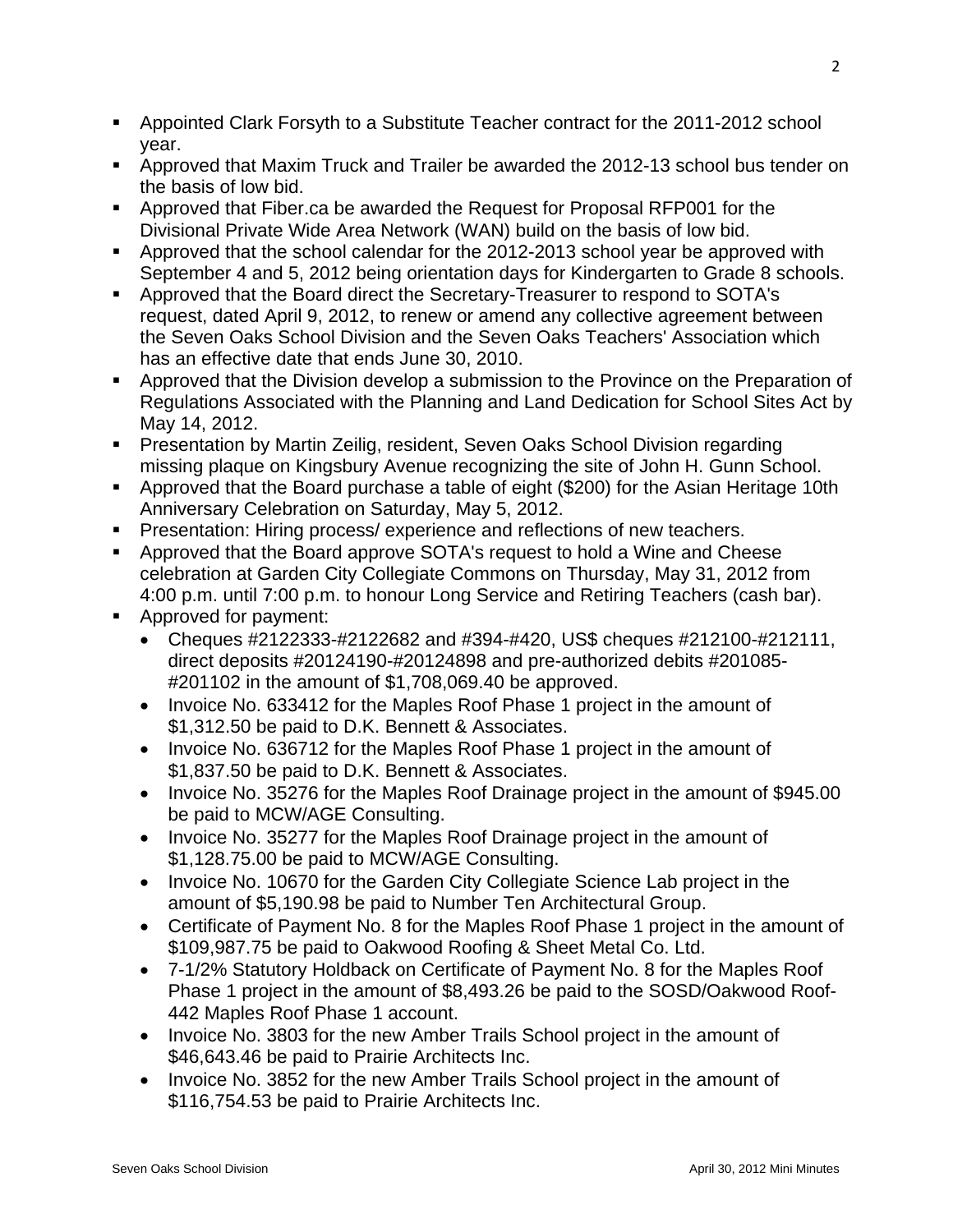- Appointed Clark Forsyth to a Substitute Teacher contract for the 2011-2012 school year.
- Approved that Maxim Truck and Trailer be awarded the 2012-13 school bus tender on the basis of low bid.
- Approved that Fiber.ca be awarded the Request for Proposal RFP001 for the Divisional Private Wide Area Network (WAN) build on the basis of low bid.
- Approved that the school calendar for the 2012-2013 school year be approved with September 4 and 5, 2012 being orientation days for Kindergarten to Grade 8 schools.
- Approved that the Board direct the Secretary-Treasurer to respond to SOTA's request, dated April 9, 2012, to renew or amend any collective agreement between the Seven Oaks School Division and the Seven Oaks Teachers' Association which has an effective date that ends June 30, 2010.
- **Approved that the Division develop a submission to the Province on the Preparation of** Regulations Associated with the Planning and Land Dedication for School Sites Act by May 14, 2012.
- Presentation by Martin Zeilig, resident, Seven Oaks School Division regarding missing plaque on Kingsbury Avenue recognizing the site of John H. Gunn School.
- Approved that the Board purchase a table of eight (\$200) for the Asian Heritage 10th Anniversary Celebration on Saturday, May 5, 2012.
- **Presentation: Hiring process/ experience and reflections of new teachers.**
- Approved that the Board approve SOTA's request to hold a Wine and Cheese celebration at Garden City Collegiate Commons on Thursday, May 31, 2012 from 4:00 p.m. until 7:00 p.m. to honour Long Service and Retiring Teachers (cash bar).
- Approved for payment:
	- Cheques #2122333-#2122682 and #394-#420, US\$ cheques #212100-#212111, direct deposits #20124190-#20124898 and pre-authorized debits #201085- #201102 in the amount of \$1,708,069.40 be approved.
	- Invoice No. 633412 for the Maples Roof Phase 1 project in the amount of \$1,312.50 be paid to D.K. Bennett & Associates.
	- Invoice No. 636712 for the Maples Roof Phase 1 project in the amount of \$1,837.50 be paid to D.K. Bennett & Associates.
	- Invoice No. 35276 for the Maples Roof Drainage project in the amount of \$945.00 be paid to MCW/AGE Consulting.
	- Invoice No. 35277 for the Maples Roof Drainage project in the amount of \$1,128.75.00 be paid to MCW/AGE Consulting.
	- Invoice No. 10670 for the Garden City Collegiate Science Lab project in the amount of \$5,190.98 be paid to Number Ten Architectural Group.
	- Certificate of Payment No. 8 for the Maples Roof Phase 1 project in the amount of \$109,987.75 be paid to Oakwood Roofing & Sheet Metal Co. Ltd.
	- 7-1/2% Statutory Holdback on Certificate of Payment No. 8 for the Maples Roof Phase 1 project in the amount of \$8,493.26 be paid to the SOSD/Oakwood Roof-442 Maples Roof Phase 1 account.
	- Invoice No. 3803 for the new Amber Trails School project in the amount of \$46,643.46 be paid to Prairie Architects Inc.
	- Invoice No. 3852 for the new Amber Trails School project in the amount of \$116,754.53 be paid to Prairie Architects Inc.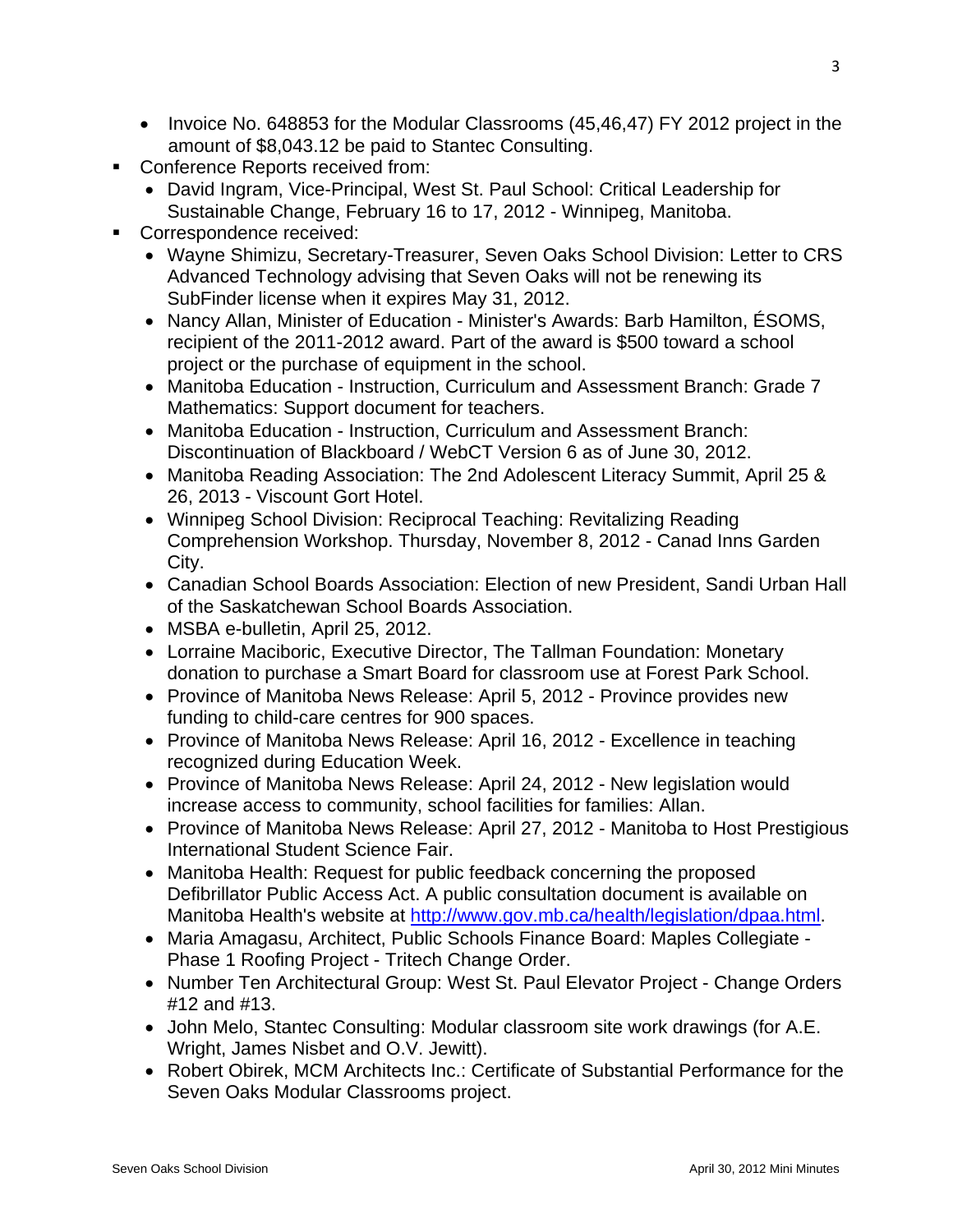- Invoice No. 648853 for the Modular Classrooms (45,46,47) FY 2012 project in the amount of \$8,043.12 be paid to Stantec Consulting.
- Conference Reports received from:
	- David Ingram, Vice-Principal, West St. Paul School: Critical Leadership for Sustainable Change, February 16 to 17, 2012 - Winnipeg, Manitoba.
- Correspondence received:
	- Wayne Shimizu, Secretary-Treasurer, Seven Oaks School Division: Letter to CRS Advanced Technology advising that Seven Oaks will not be renewing its SubFinder license when it expires May 31, 2012.
	- Nancy Allan, Minister of Education Minister's Awards: Barb Hamilton, ÉSOMS, recipient of the 2011-2012 award. Part of the award is \$500 toward a school project or the purchase of equipment in the school.
	- Manitoba Education Instruction, Curriculum and Assessment Branch: Grade 7 Mathematics: Support document for teachers.
	- Manitoba Education Instruction, Curriculum and Assessment Branch: Discontinuation of Blackboard / WebCT Version 6 as of June 30, 2012.
	- Manitoba Reading Association: The 2nd Adolescent Literacy Summit, April 25 & 26, 2013 - Viscount Gort Hotel.
	- Winnipeg School Division: Reciprocal Teaching: Revitalizing Reading Comprehension Workshop. Thursday, November 8, 2012 - Canad Inns Garden City.
	- Canadian School Boards Association: Election of new President, Sandi Urban Hall of the Saskatchewan School Boards Association.
	- MSBA e-bulletin, April 25, 2012.
	- Lorraine Maciboric, Executive Director, The Tallman Foundation: Monetary donation to purchase a Smart Board for classroom use at Forest Park School.
	- Province of Manitoba News Release: April 5, 2012 Province provides new funding to child-care centres for 900 spaces.
	- Province of Manitoba News Release: April 16, 2012 Excellence in teaching recognized during Education Week.
	- Province of Manitoba News Release: April 24, 2012 New legislation would increase access to community, school facilities for families: Allan.
	- Province of Manitoba News Release: April 27, 2012 Manitoba to Host Prestigious International Student Science Fair.
	- Manitoba Health: Request for public feedback concerning the proposed Defibrillator Public Access Act. A public consultation document is available on Manitoba Health's website at <http://www.gov.mb.ca/health/legislation/dpaa.html>.
	- Maria Amagasu, Architect, Public Schools Finance Board: Maples Collegiate Phase 1 Roofing Project - Tritech Change Order.
	- Number Ten Architectural Group: West St. Paul Elevator Project Change Orders #12 and #13.
	- John Melo, Stantec Consulting: Modular classroom site work drawings (for A.E. Wright, James Nisbet and O.V. Jewitt).
	- Robert Obirek, MCM Architects Inc.: Certificate of Substantial Performance for the Seven Oaks Modular Classrooms project.